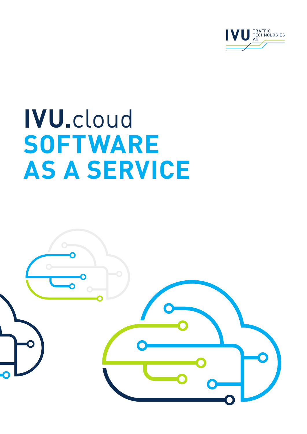

# **ivu.**cloud **Software AS A Service**

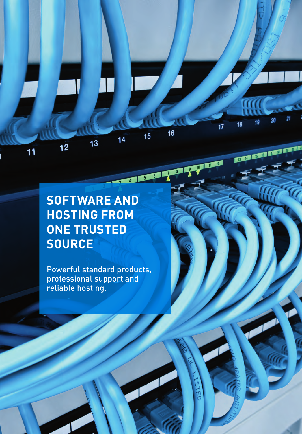### **Software and HOsting from ONE TRUSTED SOURCE**

 $13$ 

 $12$ 

 $11$ 

21

20

 $19$ 

13 14 15 15 17

18

 $17$ 

 $16$ 

THE REAL PROPERTY AND INCOME.

 $15$ 

 $\overline{14}$ 

Powerful standard products, professional support and reliable hosting.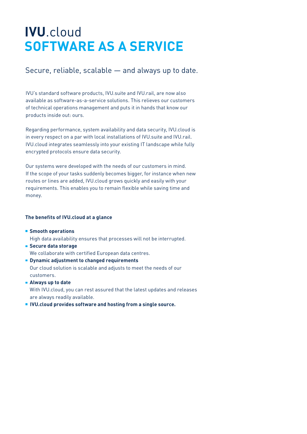## **IVU**.cloud **SOFTWARE AS A SERVICE**

### Secure, reliable, scalable — and always up to date.

IVU's standard software products, IVU.suite and IVU.rail, are now also available as software-as-a-service solutions. This relieves our customers of technical operations management and puts it in hands that know our products inside out: ours.

Regarding performance, system availability and data security, IVU.cloud is in every respect on a par with local installations of IVU.suite and IVU.rail. IVU.cloud integrates seamlessly into your existing IT landscape while fully encrypted protocols ensure data security.

Our systems were developed with the needs of our customers in mind. If the scope of your tasks suddenly becomes bigger, for instance when new routes or lines are added, IVU.cloud grows quickly and easily with your requirements. This enables you to remain flexible while saving time and money.

#### **The benefits of IVU.cloud at a glance**

- **Smooth operations** High data availability ensures that processes will not be interrupted.
- **Secure data storage** We collaborate with certified European data centres.
- **Dynamic adjustment to changed requirements** Our cloud solution is scalable and adjusts to meet the needs of our customers.
- **Always up to date** With IVU.cloud, you can rest assured that the latest updates and releases are always readily available.
- **IVU.cloud provides software and hosting from a single source.**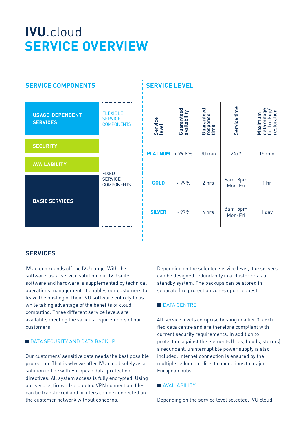## **IVU**.cloud **SERVICE OVERVIEW**



#### **Service Level**

| Service<br>level | Guaranteed<br>availability | Guaranteed<br>response<br>time | Service time       | Maximum<br>data outage<br>for backup/<br>restoration |
|------------------|----------------------------|--------------------------------|--------------------|------------------------------------------------------|
| <b>PLATINUM</b>  | > 99.8%                    | 30 min                         | 24/7               | 15 min                                               |
| <b>GOLD</b>      | > 99%                      | 2 hrs                          | 6am-8pm<br>Mon-Fri | 1 hr                                                 |
| <b>SILVER</b>    | > 97%                      | 4 hrs                          | 8am-5pm<br>Mon-Fri | 1 day                                                |

#### **Services**

IVU.cloud rounds off the IVU range. With this software-as-a-service solution, our IVU.suite software and hardware is supplemented by technical operations management. It enables our customers to leave the hosting of their IVU software entirely to us while taking advantage of the benefits of cloud computing. Three different service levels are available, meeting the various requirements of our customers.

#### **DATA SECURITY AND DATA BACKUP**

Our customers' sensitive data needs the best possible protection. That is why we offer IVU.cloud solely as a solution in line with European data-protection directives. All system access is fully encrypted. Using our secure, firewall-protected VPN connection, files can be transferred and printers can be connected on the customer network without concerns.

Depending on the selected service level, the servers can be designed redundantly in a cluster or as a standby system. The backups can be stored in separate fire protection zones upon request.

#### **DATA CENTRE**

All service levels comprise hosting in a tier 3–certified data centre and are therefore compliant with current security requirements. In addition to protection against the elements (fires, floods, storms), a redundant, uninterruptible power supply is also included. Internet connection is ensured by the multiple redundant direct connections to major European hubs.

**MAVAII ARII ITY** 

Depending on the service level selected, IVU.cloud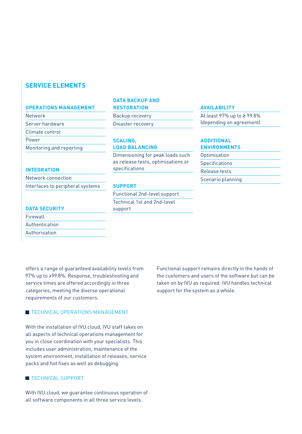#### **Service elements**

#### **Operations management**

Network

Server hardware

Climate control

Power

Monitoring and reporting

#### **Integration**

Network connection Interfaces to peripheral systems

#### **DATA BAC KUP AND**

#### **RE STORATION**

Backup recovery Disaster recovery

#### **Scaling, load Balancing**

Dimensioning for peak loads such as release tests, optimisations or specifications

#### **SUPPORT**

Functional 2nd-level support Technical 1st and 2nd-level support

#### **Availability**

At least 97% up to ≥ 99.8% (depending on agreement)

#### **Additional environments**

**Optimisation Specifications** Release tests Scenario planning

#### **DATA SECURITY**

| Firewall       |  |
|----------------|--|
| Authentication |  |
| Authorisation  |  |

offers a range of guaranteed availability levels from 97% up to ≥99.8%. Response, troubleshooting and service times are offered accordingly in three categories, meeting the diverse operational requirements of our customers.

#### **TECHNICAL OPERATIONS MANAGEMENT**

With the installation of IVU.cloud, IVU staff takes on all aspects of technical operations management for you in close coordination with your specialists. This includes user administration, maintenance of the system environment, installation of releases, service packs and hot fixes as well as debugging.

#### **TECHNICAL SUPPORT**

With IVU.cloud, we guarantee continuous operation of all software components in all three service levels.

Functional support remains directly in the hands of the customers and users of the software but can be taken on by IVU as required. IVU handles technical support for the system as a whole.